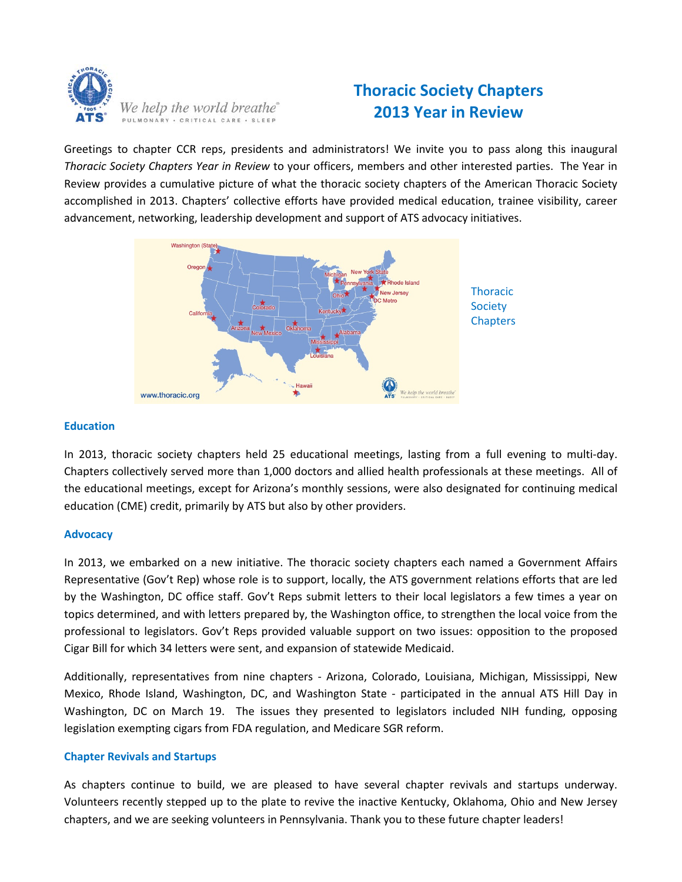

# **Thoracic Society Chapters 2013 Year in Review**

Greetings to chapter CCR reps, presidents and administrators! We invite you to pass along this inaugural *Thoracic Society Chapters Year in Review* to your officers, members and other interested parties. The Year in Review provides a cumulative picture of what the thoracic society chapters of the American Thoracic Society accomplished in 2013. Chapters' collective efforts have provided medical education, trainee visibility, career advancement, networking, leadership development and support of ATS advocacy initiatives.



## **Education**

In 2013, thoracic society chapters held 25 educational meetings, lasting from a full evening to multi-day. Chapters collectively served more than 1,000 doctors and allied health professionals at these meetings. All of the educational meetings, except for Arizona's monthly sessions, were also designated for continuing medical education (CME) credit, primarily by ATS but also by other providers.

#### **Advocacy**

In 2013, we embarked on a new initiative. The thoracic society chapters each named a Government Affairs Representative (Gov't Rep) whose role is to support, locally, the ATS government relations efforts that are led by the Washington, DC office staff. Gov't Reps submit letters to their local legislators a few times a year on topics determined, and with letters prepared by, the Washington office, to strengthen the local voice from the professional to legislators. Gov't Reps provided valuable support on two issues: opposition to the proposed Cigar Bill for which 34 letters were sent, and expansion of statewide Medicaid.

Additionally, representatives from nine chapters - Arizona, Colorado, Louisiana, Michigan, Mississippi, New Mexico, Rhode Island, Washington, DC, and Washington State - participated in the annual ATS Hill Day in Washington, DC on March 19. The issues they presented to legislators included NIH funding, opposing legislation exempting cigars from FDA regulation, and Medicare SGR reform.

## **Chapter Revivals and Startups**

As chapters continue to build, we are pleased to have several chapter revivals and startups underway. Volunteers recently stepped up to the plate to revive the inactive Kentucky, Oklahoma, Ohio and New Jersey chapters, and we are seeking volunteers in Pennsylvania. Thank you to these future chapter leaders!